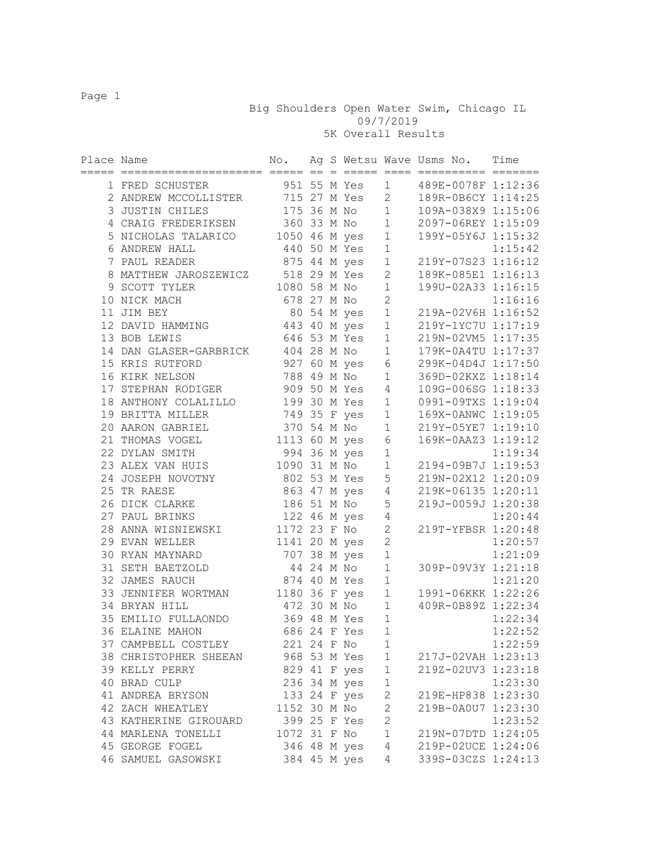Big Shoulders Open Water Swim, Chicago IL 09/7/2019

5K Overall Results

| Place Name | seesseesseesse ee                  | No.<br>=== ==   |  | $=====$                         | $====$                 | Ag S Wetsu Wave Usms No.<br>========== ======= | Time    |
|------------|------------------------------------|-----------------|--|---------------------------------|------------------------|------------------------------------------------|---------|
|            | 1 FRED SCHUSTER                    |                 |  | 951 55 M Yes 1                  |                        | 489E-0078F 1:12:36                             |         |
|            | 2 ANDREW MCCOLLISTER               |                 |  | 715 27 M Yes 2<br>175 36 M No 1 |                        | 189R-0B6CY 1:14:25                             |         |
|            | 3 JUSTIN CHILES                    |                 |  |                                 |                        | 109A-038X9 1:15:06                             |         |
|            | 4 CRAIG FREDERIKSEN                |                 |  | 360 33 M No 1                   |                        | 2097-06REY 1:15:09                             |         |
|            | 5 NICHOLAS TALARICO                | 1050 46 M yes 1 |  |                                 |                        | 199Y-05Y6J 1:15:32                             |         |
|            | 6 ANDREW HALL                      |                 |  | 440 50 M Yes                    | $1\,$                  |                                                | 1:15:42 |
|            | 7 PAUL READER                      |                 |  | 875 44 M yes                    | 1                      | 219Y-07S23 1:16:12                             |         |
|            | 8 MATTHEW JAROSZEWICZ 518 29 M Yes |                 |  |                                 | $2^{\circ}$            | 189K-085E1 1:16:13                             |         |
|            | 9 SCOTT TYLER                      |                 |  | 1080 58 M No                    | $\mathbf{1}$           | 199U-02A33 1:16:15                             |         |
|            | 10 NICK MACH                       |                 |  | 678 27 M No                     | $\overline{2}$         |                                                | 1:16:16 |
|            | 11 JIM BEY                         |                 |  | 80 54 M yes                     | $\mathbf 1$            | 219A-02V6H 1:16:52                             |         |
|            | 12 DAVID HAMMING                   |                 |  | 443 40 M yes                    | $\mathbf 1$            | 219Y-1YC7U 1:17:19                             |         |
|            | 13 BOB LEWIS                       |                 |  | 646 53 M Yes                    | $1\,$                  | 219N-02VM5 1:17:35                             |         |
|            | 14 DAN GLASER-GARBRICK             |                 |  | 404 28 M No                     | $\mathbf{1}$           | 179K-0A4TU 1:17:37                             |         |
|            | 15 KRIS RUTFORD                    |                 |  | 927 60 M yes 6                  |                        | 299K-04D4J 1:17:50                             |         |
|            | 16 KIRK NELSON                     |                 |  | 788 49 M No                     | $\mathbf{1}$           | 369D-02KXZ 1:18:14                             |         |
|            | 17 STEPHAN RODIGER                 |                 |  | 909 50 M Yes 4                  |                        | 109G-006SG 1:18:33                             |         |
|            | 18 ANTHONY COLALILLO               | 199 30 M Yes 1  |  |                                 |                        | 0991-09TXS 1:19:04                             |         |
|            | 19 BRITTA MILLER                   |                 |  | 749 35 F yes                    | $1 \quad \blacksquare$ | 169X-0ANWC 1:19:05                             |         |
|            | 20 AARON GABRIEL                   |                 |  | 370 54 M No                     | $1 \quad \blacksquare$ | 219Y-05YE7 1:19:10                             |         |
|            | 21 THOMAS VOGEL                    |                 |  | 1113 60 M yes                   | 6                      | 169K-0AAZ3 1:19:12                             |         |
|            | 22 DYLAN SMITH                     |                 |  | 994 36 M yes                    | $1\,$                  |                                                | 1:19:34 |
|            | 23 ALEX VAN HUIS                   |                 |  | 1090 31 M No                    | $1\,$                  | 2194-09B7J 1:19:53                             |         |
|            | 24 JOSEPH NOVOTNY                  |                 |  | 802 53 M Yes 5                  |                        | 219N-02X12 1:20:09                             |         |
|            | 25 TR RAESE                        |                 |  | 863 47 M yes                    | $\overline{4}$         | 219K-06135 1:20:11                             |         |
|            | 26 DICK CLARKE                     |                 |  | 186 51 M No                     | $\mathsf S$            | 219J-0059J 1:20:38                             |         |
|            | 27 PAUL BRINKS                     | 122 46 M yes    |  |                                 | $\sqrt{4}$             |                                                | 1:20:44 |
|            | 28 ANNA WISNIEWSKI                 |                 |  | 1172 23 F No                    | $\mathbf{2}$           | 219T-YFBSR 1:20:48                             |         |
|            | 29 EVAN WELLER                     |                 |  | 1141 20 M yes                   | $\overline{c}$         |                                                | 1:20:57 |
|            | 30 RYAN MAYNARD                    |                 |  | 707 38 M yes                    | $1\,$                  |                                                | 1:21:09 |
|            | 31 SETH BAETZOLD                   | 44 24 M No      |  |                                 | $\mathbf 1$            | 309P-09V3Y 1:21:18                             |         |
|            | 32 JAMES RAUCH                     | 874 40 M Yes    |  |                                 | $1\,$                  |                                                | 1:21:20 |
|            | 33 JENNIFER WORTMAN                | 1180 36 F yes   |  |                                 | $\mathbf 1$            | 1991-06KKK 1:22:26                             |         |
|            | 34 BRYAN HILL                      | 472 30 M No     |  |                                 | $\mathbf{1}$           | 409R-0B89Z 1:22:34                             |         |
|            | 35 EMILIO FULLAONDO                |                 |  | 369 48 M Yes                    | $\mathbf 1$            |                                                | 1:22:34 |
|            | 36 ELAINE MAHON                    |                 |  | 686 24 F Yes                    | $\mathbf 1$            |                                                | 1:22:52 |
|            | 37 CAMPBELL COSTLEY                | 221 24 F No     |  |                                 | 1                      |                                                | 1:22:59 |
|            | 38 CHRISTOPHER SHEEAN              |                 |  | 968 53 M Yes                    | $\mathbf 1$            | 217J-02VAH 1:23:13                             |         |
|            | 39 KELLY PERRY                     |                 |  | 829 41 F yes                    | $\mathbf{1}$           | 219Z-02UV3 1:23:18                             |         |
|            | 40 BRAD CULP                       |                 |  | 236 34 M yes                    | $\mathbf{1}$           |                                                | 1:23:30 |
|            | 41 ANDREA BRYSON                   |                 |  | 133 24 F yes                    | $\mathbf{2}$           | 219E-HP838 1:23:30                             |         |
|            | 42 ZACH WHEATLEY                   | 1152 30 M No    |  |                                 | $\mathbf{2}$           | 219B-0A0U7 1:23:30                             |         |
|            | 43 KATHERINE GIROUARD              |                 |  | 399 25 F Yes                    | $\overline{c}$         |                                                | 1:23:52 |
|            | 44 MARLENA TONELLI                 | 1072 31 F No    |  |                                 | $\mathbf 1$            | 219N-07DTD 1:24:05                             |         |
|            | 45 GEORGE FOGEL                    |                 |  | 346 48 M yes                    | $\overline{4}$         | 219P-02UCE 1:24:06                             |         |
|            | 46 SAMUEL GASOWSKI                 |                 |  | 384 45 M yes                    | 4                      | 339S-03CZS 1:24:13                             |         |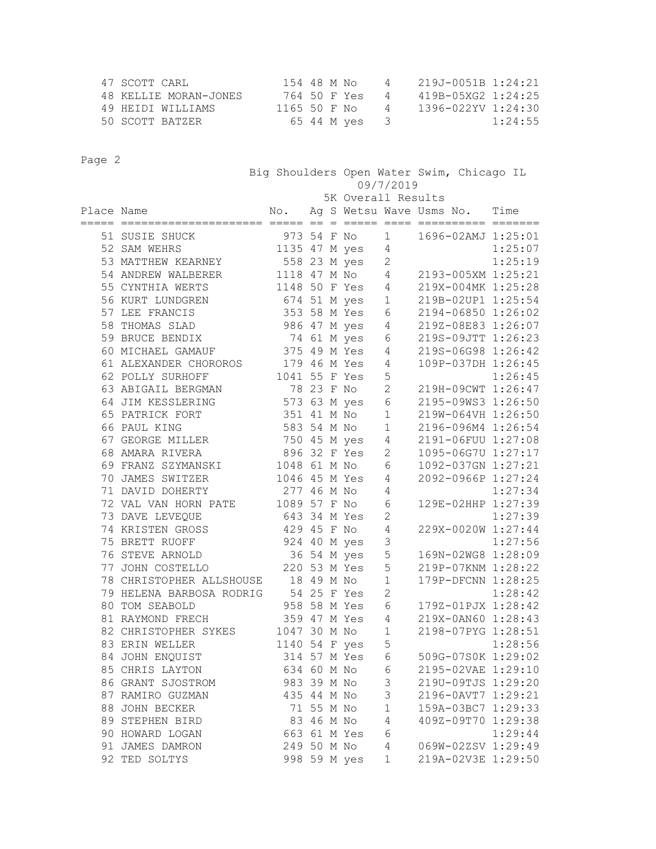| 47 SCOTT CARL         | 154 48 M No   | 4              | 219J-0051B 1:24:21 |
|-----------------------|---------------|----------------|--------------------|
| 48 KELLIE MORAN-JONES | 764 50 F Yes  | 4              | 419B-05XG2 1:24:25 |
| 49 HEIDI WILLIAMS     | 1165 50 F No  | $\overline{4}$ | 1396-022YV 1:24:30 |
| 50 SCOTT BATZER       | 65 44 M yes 3 |                | 1:24:55            |

|            |                          |               |            | Big Shoulders Open Water Swim, Chicago IL<br>09/7/2019 |                        |  |  |                    |
|------------|--------------------------|---------------|------------|--------------------------------------------------------|------------------------|--|--|--------------------|
|            |                          |               |            | 5K Overall Results                                     |                        |  |  |                    |
| Place Name |                          | No.           |            | Ag S Wetsu Wave Usms No. Time                          |                        |  |  |                    |
|            | 51 SUSIE SHUCK           |               |            | 973 54 F No                                            | $1 \quad \blacksquare$ |  |  | 1696-02AMJ 1:25:01 |
|            | 52 SAM WEHRS             |               |            | 1135 47 M yes                                          | 4                      |  |  | 1:25:07            |
|            | 53 MATTHEW KEARNEY       | 558 23 M yes  |            |                                                        | $\mathbf{2}$           |  |  | 1:25:19            |
|            | 54 ANDREW WALBERER       | 1118 47 M No  |            |                                                        | 4                      |  |  | 2193-005XM 1:25:21 |
|            | 55 CYNTHIA WERTS         | 1148 50 F Yes |            |                                                        | 4                      |  |  | 219X-004MK 1:25:28 |
|            | 56 KURT LUNDGREN         |               |            | 674 51 M yes                                           | $\mathbf{1}$           |  |  | 219B-02UP1 1:25:54 |
|            | 57 LEE FRANCIS           |               |            | 353 58 M Yes                                           | 6                      |  |  | 2194-06850 1:26:02 |
|            | 58 THOMAS SLAD           |               |            | 986 47 M yes                                           | $\overline{4}$         |  |  | 219Z-08E83 1:26:07 |
|            | 59 BRUCE BENDIX          |               |            | 74 61 M yes                                            | 6                      |  |  | 219S-09JTT 1:26:23 |
|            | 60 MICHAEL GAMAUF        | 375 49 M Yes  |            |                                                        | 4                      |  |  | 219S-06G98 1:26:42 |
|            | 61 ALEXANDER CHOROROS    | 179 46 M Yes  |            |                                                        | 4                      |  |  | 109P-037DH 1:26:45 |
|            | 62 POLLY SURHOFF         | 1041 55 F Yes |            |                                                        | 5                      |  |  | 1:26:45            |
|            | 63 ABIGAIL BERGMAN       |               | 78 23 F No |                                                        | $\overline{2}$         |  |  | 219H-09CWT 1:26:47 |
|            | 64 JIM KESSLERING        | 573 63 M yes  |            |                                                        | 6                      |  |  | 2195-09WS3 1:26:50 |
|            | 65 PATRICK FORT          | 351 41 M No   |            |                                                        | $\mathbf 1$            |  |  | 219W-064VH 1:26:50 |
|            | 66 PAUL KING             | 583 54 M No   |            |                                                        | $\mathbf 1$            |  |  | 2196-096M4 1:26:54 |
|            | 67 GEORGE MILLER         |               |            | 750 45 M yes                                           | 4                      |  |  | 2191-06FUU 1:27:08 |
|            | 68 AMARA RIVERA          | 896 32 F Yes  |            |                                                        | $\mathbf{2}$           |  |  | 1095-06G7U 1:27:17 |
|            | 69 FRANZ SZYMANSKI       | 1048 61 M No  |            |                                                        | 6                      |  |  | 1092-037GN 1:27:21 |
|            | 70 JAMES SWITZER         | 1046 45 M Yes |            |                                                        | 4                      |  |  | 2092-0966P 1:27:24 |
|            | 71 DAVID DOHERTY         | 277 46 M No   |            |                                                        | 4                      |  |  | 1:27:34            |
|            | 72 VAL VAN HORN PATE     | 1089 57 F No  |            |                                                        | 6                      |  |  | 129E-02HHP 1:27:39 |
|            | 73 DAVE LEVEQUE          | 643 34 M Yes  |            |                                                        | $\mathbf{2}$           |  |  | 1:27:39            |
|            | 74 KRISTEN GROSS         | 429 45 F No   |            |                                                        | 4                      |  |  | 229X-0020W 1:27:44 |
|            | 75 BRETT RUOFF           |               |            | 924 40 M yes                                           | 3                      |  |  | 1:27:56            |
|            | 76 STEVE ARNOLD          |               |            | 36 54 M yes                                            | 5                      |  |  | 169N-02WG8 1:28:09 |
|            | 77 JOHN COSTELLO         |               |            | 220 53 M Yes                                           | 5                      |  |  | 219P-07KNM 1:28:22 |
|            | 78 CHRISTOPHER ALLSHOUSE |               | 18 49 M No |                                                        | $\mathbf 1$            |  |  | 179P-DFCNN 1:28:25 |
|            | 79 HELENA BARBOSA RODRIG | 54 25 F Yes   |            |                                                        | $\mathbf{2}$           |  |  | 1:28:42            |
|            | 80 TOM SEABOLD           | 958 58 M Yes  |            |                                                        | 6                      |  |  | 179Z-01PJX 1:28:42 |
|            | 81 RAYMOND FRECH         | 359 47 M Yes  |            |                                                        | 4                      |  |  | 219X-0AN60 1:28:43 |
|            | 82 CHRISTOPHER SYKES     | 1047 30 M No  |            |                                                        | $\mathbf 1$            |  |  | 2198-07PYG 1:28:51 |
|            | 83 ERIN WELLER           | 1140 54 F yes |            |                                                        | 5                      |  |  | 1:28:56            |
|            | 84 JOHN ENQUIST          |               |            | 314 57 M Yes                                           | 6                      |  |  | 509G-07S0K 1:29:02 |
|            | 85 CHRIS LAYTON          | 634 60 M No   |            |                                                        | 6                      |  |  | 2195-02VAE 1:29:10 |
|            | 86 GRANT SJOSTROM        | 983 39 M No   |            |                                                        | $\mathfrak{Z}$         |  |  | 219U-09TJS 1:29:20 |
|            | 87 RAMIRO GUZMAN         | 435 44 M No   |            |                                                        | $\mathsf 3$            |  |  | 2196-0AVT7 1:29:21 |
|            | 88 JOHN BECKER           |               | 71 55 M No |                                                        | $\mathbf 1$            |  |  | 159A-03BC7 1:29:33 |
|            | 89 STEPHEN BIRD          |               | 83 46 M No |                                                        | $\sqrt{4}$             |  |  | 409Z-09T70 1:29:38 |
|            | 90 HOWARD LOGAN          |               |            | 663 61 M Yes                                           | 6                      |  |  | 1:29:44            |
|            | 91 JAMES DAMRON          | 249 50 M No   |            |                                                        | $\sqrt{4}$             |  |  | 069W-02ZSV 1:29:49 |
|            | 92 TED SOLTYS            |               |            | 998 59 M yes                                           | $\mathbf{1}$           |  |  | 219A-02V3E 1:29:50 |
|            |                          |               |            |                                                        |                        |  |  |                    |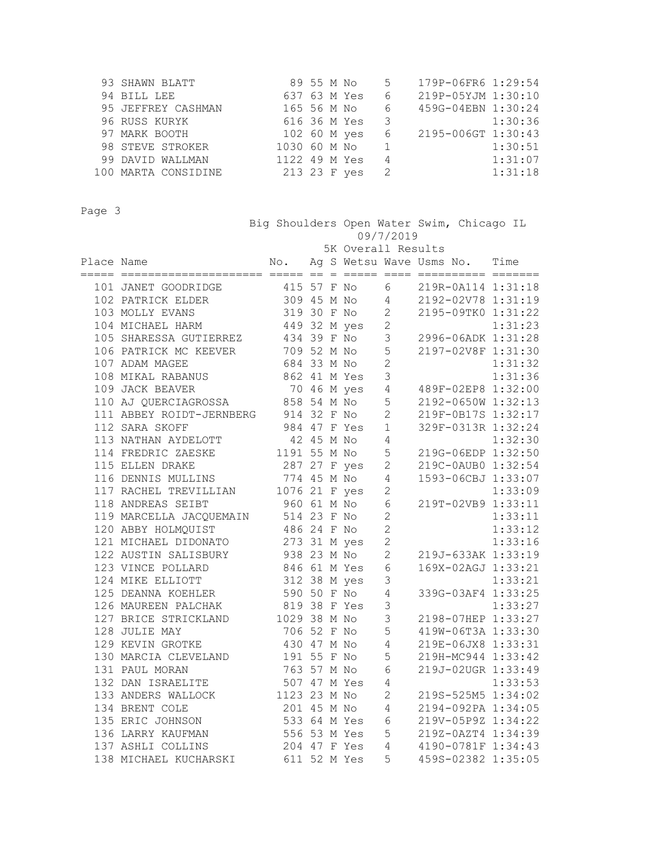| 93 SHAWN BLATT      |               |  | 89 55 M No               | 5              | 179P-06FR6 1:29:54 |         |
|---------------------|---------------|--|--------------------------|----------------|--------------------|---------|
| 94 BILL LEE         | 637 63 M Yes  |  |                          | 6 —            | 219P-05YJM 1:30:10 |         |
| 95 JEFFREY CASHMAN  | 165 56 M No   |  |                          | 6              | 459G-04EBN 1:30:24 |         |
| 96 RUSS KURYK       | 616 36 M Yes  |  | $\overline{\phantom{a}}$ |                | 1:30:36            |         |
| 97 MARK BOOTH       | 102 60 M yes  |  |                          | 6              | 2195-006GT 1:30:43 |         |
| 98 STEVE STROKER    | 1030 60 M No  |  |                          |                |                    | 1:30:51 |
| 99 DAVID WALLMAN    | 1122 49 M Yes |  |                          | 4              |                    | 1:31:07 |
| 100 MARTA CONSIDINE | 213 23 F yes  |  |                          | $\overline{2}$ |                    | 1:31:18 |

 Big Shoulders Open Water Swim, Chicago IL 09/7/2019 5K Overall Results Place Name  $N$ o. Ag S Wetsu Wave Usms No. Time ===== ===================== ===== == = ===== ==== ========== ======= 101 JANET GOODRIDGE 415 57 F No 6 219R-0A114 1:31:18 102 PATRICK ELDER 309 45 M No 4 2192-02V78 1:31:19 103 MOLLY EVANS 319 30 F No 2 2195-09TK0 1:31:22 104 MICHAEL HARM 449 32 M yes 2 1:31:23 105 SHARESSA GUTIERREZ 434 39 F No 3 2996-06ADK 1:31:28 106 PATRICK MC KEEVER 709 52 M No 5 2197-02V8F 1:31:30 107 ADAM MAGEE 684 33 M No 2 1:31:32 108 MIKAL RABANUS 862 41 M Yes 3 1:31:36 109 JACK BEAVER 70 46 M yes 4 489F-02EP8 1:32:00 110 AJ QUERCIAGROSSA 858 54 M No 5 2192-0650W 1:32:13 111 ABBEY ROIDT-JERNBERG 914 32 F No 2 219F-0B17S 1:32:17 112 SARA SKOFF 984 47 F Yes 1 329F-0313R 1:32:24 113 NATHAN AYDELOTT 42 45 M No 4 1:32:30 114 FREDRIC ZAESKE 1191 55 M No 5 219G-06EDP 1:32:50 115 ELLEN DRAKE 287 27 F yes 2 219C-0AUB0 1:32:54 116 DENNIS MULLINS 774 45 M No 4 1593-06CBJ 1:33:07 117 RACHEL TREVILLIAN 1076 21 F yes 2 1:33:09 118 ANDREAS SEIBT 960 61 M No 6 219T-02VB9 1:33:11 119 MARCELLA JACQUEMAIN 514 23 F No 2 1:33:11 120 ABBY HOLMQUIST 486 24 F No 2 1:33:12 121 MICHAEL DIDONATO 273 31 M yes 2 1:33:16 122 AUSTIN SALISBURY 938 23 M No 2 219J-633AK 1:33:19 123 VINCE POLLARD 846 61 M Yes 6 169X-02AGJ 1:33:21 124 MIKE ELLIOTT 312 38 M yes 3 1:33:21 125 DEANNA KOEHLER 590 50 F No 4 339G-03AF4 1:33:25 126 MAUREEN PALCHAK 819 38 F Yes 3 1:33:27 127 BRICE STRICKLAND 1029 38 M No 3 2198-07HEP 1:33:27 128 JULIE MAY 706 52 F No 5 419W-06T3A 1:33:30 129 KEVIN GROTKE 430 47 M No 4 219E-06JX8 1:33:31 130 MARCIA CLEVELAND 191 55 F No 5 219H-MC944 1:33:42 131 PAUL MORAN 763 57 M No 6 219J-02UGR 1:33:49 132 DAN ISRAELITE 507 47 M Yes 4 1:33:53 133 ANDERS WALLOCK 1123 23 M No 2 219S-525M5 1:34:02 134 BRENT COLE 201 45 M No 4 2194-092PA 1:34:05 135 ERIC JOHNSON 533 64 M Yes 6 219V-05P9Z 1:34:22 136 LARRY KAUFMAN 556 53 M Yes 5 219Z-0AZT4 1:34:39 137 ASHLI COLLINS 204 47 F Yes 4 4190-0781F 1:34:43

138 MICHAEL KUCHARSKI 611 52 M Yes 5 459S-02382 1:35:05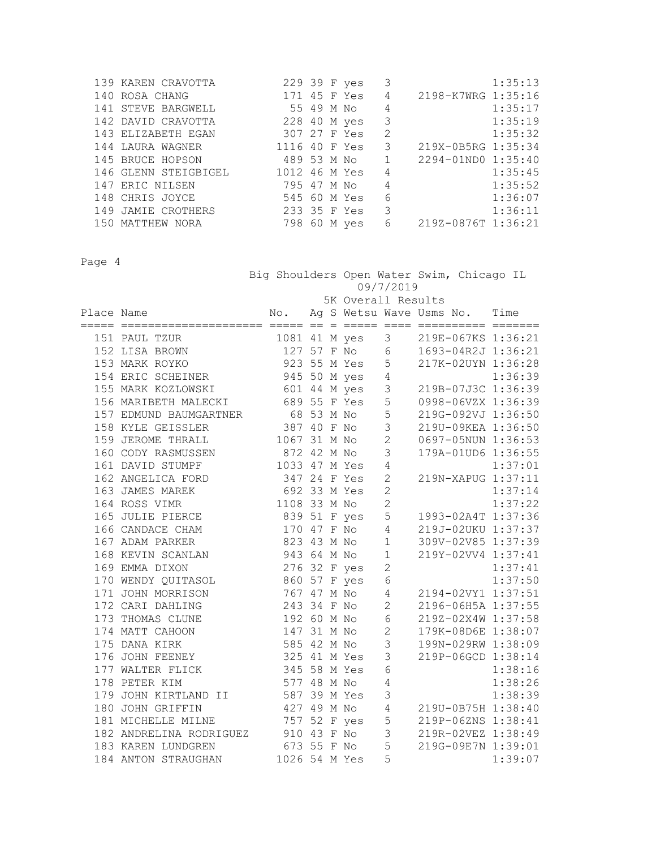| 139 KAREN CRAVOTTA   |     | 229 39 F yes  | 3 | 1:35:13            |
|----------------------|-----|---------------|---|--------------------|
| 140 ROSA CHANG       | 171 | 45 F Yes      | 4 | 2198-K7WRG 1:35:16 |
| 141 STEVE BARGWELL   |     | 55 49 M No    | 4 | 1:35:17            |
| 142 DAVID CRAVOTTA   |     | 228 40 M yes  | 3 | 1:35:19            |
| 143 ELIZABETH EGAN   |     | 307 27 F Yes  | 2 | 1:35:32            |
| 144 LAURA WAGNER     |     | 1116 40 F Yes | 3 | 219X-0B5RG 1:35:34 |
| 145 BRUCE HOPSON     |     | 489 53 M No   |   | 2294-01ND0 1:35:40 |
| 146 GLENN STEIGBIGEL |     | 1012 46 M Yes | 4 | 1:35:45            |
| 147 ERIC NILSEN      |     | 795 47 M No   | 4 | 1:35:52            |
| 148 CHRIS JOYCE      |     | 545 60 M Yes  | 6 | 1:36:07            |
| 149 JAMIE CROTHERS   |     | 233 35 F Yes  | 3 | 1:36:11            |
| 150 MATTHEW NORA     |     | 798 60 M yes  | 6 | 219Z-0876T 1:36:21 |

 Big Shoulders Open Water Swim, Chicago IL 09/7/2019 5K Overall Results Place Name No. Ag S Wetsu Wave Usms No. Time ===== ===================== ===== == = ===== ==== ========== ======= 151 PAUL TZUR 1081 41 M yes 3 219E-067KS 1:36:21 152 LISA BROWN 127 57 F No 6 1693-04R2J 1:36:21 153 MARK ROYKO 923 55 M Yes 5 217K-02UYN 1:36:28 154 ERIC SCHEINER 945 50 M yes 4 1:36:39 155 MARK KOZLOWSKI 601 44 M yes 3 219B-07J3C 1:36:39 156 MARIBETH MALECKI 689 55 F Yes 5 0998-06VZX 1:36:39 157 EDMUND BAUMGARTNER 68 53 M No 5 219G-092VJ 1:36:50 158 KYLE GEISSLER 387 40 F No 3 219U-09KEA 1:36:50 159 JEROME THRALL 1067 31 M No 2 0697-05NUN 1:36:53 160 CODY RASMUSSEN 872 42 M No 3 179A-01UD6 1:36:55 161 DAVID STUMPF 1033 47 M Yes 4 1:37:01 162 ANGELICA FORD 347 24 F Yes 2 219N-XAPUG 1:37:11 163 JAMES MAREK 692 33 M Yes 2 1:37:14 164 ROSS VIMR 1108 33 M No 2 1:37:22 165 JULIE PIERCE 839 51 F yes 5 1993-02A4T 1:37:36 166 CANDACE CHAM 170 47 F No 4 219J-02UKU 1:37:37 167 ADAM PARKER 823 43 M No 1 309V-02V85 1:37:39 168 KEVIN SCANLAN 943 64 M No 1 219Y-02VV4 1:37:41 169 EMMA DIXON 276 32 F yes 2 1:37:41 170 WENDY QUITASOL 860 57 F yes 6 1:37:50 171 JOHN MORRISON 767 47 M No 4 2194-02VY1 1:37:51 172 CARI DAHLING 243 34 F No 2 2196-06H5A 1:37:55 173 THOMAS CLUNE 192 60 M No 6 219Z-02X4W 1:37:58 174 MATT CAHOON 147 31 M No 2 179K-08D6E 1:38:07 175 DANA KIRK 585 42 M No 3 199N-029RW 1:38:09 176 JOHN FEENEY 325 41 M Yes 3 219P-06GCD 1:38:14 177 WALTER FLICK 345 58 M Yes 6 1:38:16 178 PETER KIM 577 48 M No 4 1:38:26 179 JOHN KIRTLAND II 587 39 M Yes 3 1:38:39 180 JOHN GRIFFIN 427 49 M No 4 219U-0B75H 1:38:40 181 MICHELLE MILNE 757 52 F yes 5 219P-06ZNS 1:38:41 182 ANDRELINA RODRIGUEZ 910 43 F No 3 219R-02VEZ 1:38:49 183 KAREN LUNDGREN 673 55 F No 5 219G-09E7N 1:39:01 184 ANTON STRAUGHAN 1026 54 M Yes 5 1:39:07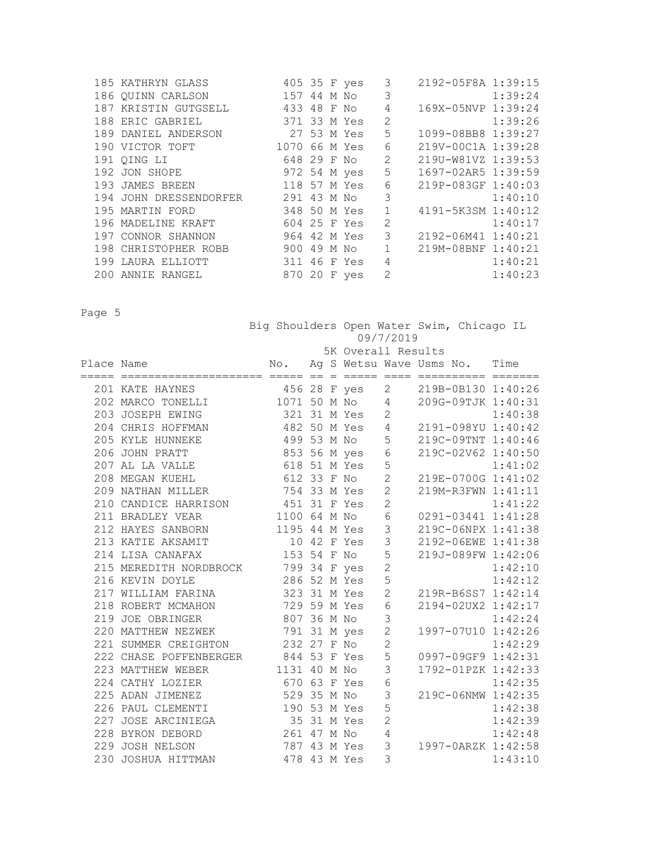| 185 KATHRYN GLASS                  |               |  | 405 35 F yes | 3              | 2192-05F8A 1:39:15 |         |
|------------------------------------|---------------|--|--------------|----------------|--------------------|---------|
| 186 OUINN CARLSON                  | 157 44 M No   |  |              | 3              |                    | 1:39:24 |
| 187 KRISTIN GUTGSELL               | 433 48 F No   |  |              | 4              | 169X-05NVP 1:39:24 |         |
| 188 ERIC GABRIEL                   | 371 33 M Yes  |  |              | 2              |                    | 1:39:26 |
| 189 DANIEL ANDERSON                | 27 53 M Yes   |  |              | 5              | 1099-08BB8 1:39:27 |         |
| 190 VICTOR TOFT                    | 1070 66 M Yes |  |              | 6              | 219V-00C1A 1:39:28 |         |
| 191 OING LI                        | 648 29 F No   |  |              | 2              | 219U-W81VZ 1:39:53 |         |
| 192 JON SHOPE                      | 972 54 M yes  |  |              | 5              | 1697-02AR5 1:39:59 |         |
| 193 JAMES BREEN                    | 118 57 M Yes  |  |              | 6              | 219P-083GF 1:40:03 |         |
| 194 JOHN DRESSENDORFER 291 43 M No |               |  |              | 3              |                    | 1:40:10 |
| 195 MARTIN FORD                    | 348 50 M Yes  |  |              | $\mathbf{1}$   | 4191-5K3SM 1:40:12 |         |
| 196 MADELINE KRAFT                 | 604 25 F Yes  |  |              | 2              |                    | 1:40:17 |
| 197 CONNOR SHANNON                 |               |  | 964 42 M Yes | 3              | 2192-06M41 1:40:21 |         |
| 198 CHRISTOPHER ROBB               | 900 49 M No   |  |              |                | 219M-08BNF 1:40:21 |         |
| 199 LAURA ELLIOTT                  | 311           |  | 46 F Yes     | 4              |                    | 1:40:21 |
| 200 ANNIE RANGEL                   |               |  | 870 20 F yes | $\overline{c}$ |                    | 1:40:23 |

|            |                                                                                                |                |  | 09/7/2019                   |                | Big Shoulders Open Water Swim, Chicago IL |  |         |
|------------|------------------------------------------------------------------------------------------------|----------------|--|-----------------------------|----------------|-------------------------------------------|--|---------|
|            |                                                                                                |                |  | 5K Overall Results          |                |                                           |  |         |
| Place Name |                                                                                                |                |  |                             |                | No. Ag S Wetsu Wave Usms No. Time         |  |         |
|            |                                                                                                |                |  |                             |                |                                           |  |         |
|            | 201 KATE HAYNES 456 28 F yes 2<br>202 MARCO TONELLI 1071 50 M No 4                             |                |  |                             |                | 2 219B-0B130 1:40:26                      |  |         |
|            |                                                                                                |                |  |                             |                | 209G-09TJK 1:40:31                        |  |         |
|            | 203 JOSEPH EWING 321 31 M Yes 2                                                                |                |  |                             |                |                                           |  |         |
|            | 203 JOSEPH EWING 321 31 M Yes 2 1:40:38<br>204 CHRIS HOFFMAN 482 50 M Yes 4 2191-098YU 1:40:42 |                |  |                             |                |                                           |  |         |
|            | 499 53 M No 5<br>205 KYLE HUNNEKE                                                              |                |  |                             |                | 219C-09TNT 1:40:46                        |  |         |
|            | 206 JOHN PRATT                                                                                 | 853 56 M yes 6 |  |                             |                | 219C-02V62 1:40:50                        |  |         |
|            | 207 AL LA VALLE                                                                                | 618 51 M Yes   |  |                             | 5              |                                           |  | 1:41:02 |
|            | 208 MEGAN KUEHL                                                                                |                |  | 612 33 F No<br>754 33 M Yes | $\overline{2}$ | 219E-0700G 1:41:02                        |  |         |
|            | 209 NATHAN MILLER                                                                              |                |  |                             | $\overline{2}$ | 219M-R3FWN 1:41:11                        |  |         |
|            | 210 CANDICE HARRISON 451 31 F Yes                                                              |                |  |                             | $\overline{c}$ |                                           |  | 1:41:22 |
|            | 1100 64 M No<br>211 BRADLEY VEAR                                                               |                |  |                             | $\sqrt{6}$     | 0291-03441 1:41:28                        |  |         |
|            | 212 HAYES SANBORN 1195 44 M Yes                                                                |                |  |                             | $\mathsf 3$    | 219C-06NPX 1:41:38                        |  |         |
|            | 213 KATIE AKSAMIT 10 42 F Yes 3                                                                |                |  |                             |                | 2192-06EWE 1:41:38                        |  |         |
|            | 153 54 F No<br>214 LISA CANAFAX                                                                |                |  |                             | 5              | 219J-089FW 1:42:06                        |  |         |
|            | 215 MEREDITH NORDBROCK 799 34 F yes<br>216 KEVIN DOYLE 286 52 M Yes                            |                |  |                             | $\overline{c}$ |                                           |  | 1:42:10 |
|            |                                                                                                |                |  |                             | 5              |                                           |  | 1:42:12 |
|            | 217 WILLIAM FARINA                                                                             | 323 31 M Yes   |  |                             | $\overline{c}$ | 1:42:12<br>219R-B6SS7 1:42:14             |  |         |
|            | 218 ROBERT MCMAHON 729 59 M Yes                                                                |                |  |                             | $\sqrt{6}$     | 2194-02UX2 1:42:17                        |  |         |
|            | 807 36 M No<br>219 JOE OBRINGER                                                                |                |  |                             | $\mathfrak{Z}$ |                                           |  | 1:42:24 |
|            | 220 MATTHEW NEZWEK 791 31 M yes                                                                |                |  |                             | $\mathbf{2}$   | 1997-07U10 1:42:26                        |  |         |
|            | 221 SUMMER CREIGHTON 232 27 F No                                                               |                |  |                             | $\overline{2}$ |                                           |  | 1:42:29 |
|            | 222 CHASE POFFENBERGER<br>223 MATTHEW WEBER 1131 40 M No<br>224 GITTHEW WEBER 1131 40 M No     |                |  |                             | 5              | 0997-09GF9 1:42:31                        |  |         |
|            |                                                                                                |                |  |                             | 3              | 1792-01PZK 1:42:33                        |  |         |
|            | 224 CATHY LOZIER                                                                               | 670 63 F Yes   |  |                             | $\sqrt{6}$     |                                           |  | 1:42:35 |
|            | 225 ADAN JIMENEZ                                                                               | 529 35 M No    |  |                             | 3              | 219C-06NMW 1:42:35                        |  |         |
|            | 226 PAUL CLEMENTI 190 53 M Yes                                                                 |                |  |                             | 5              |                                           |  | 1:42:38 |
|            | 227 JOSE ARCINIEGA 35 31 M Yes                                                                 |                |  |                             | $\overline{2}$ |                                           |  | 1:42:39 |
|            | 228 BYRON DEBORD                                                                               | 261 47 M No    |  |                             | $\sqrt{4}$     |                                           |  | 1:42:48 |
|            | 229 JOSH NELSON                                                                                | 787 43 M Yes 3 |  |                             |                | 1997-0ARZK 1:42:58                        |  |         |
|            | 230 JOSHUA HITTMAN                                                                             | 478 43 M Yes   |  |                             | 3              |                                           |  | 1:43:10 |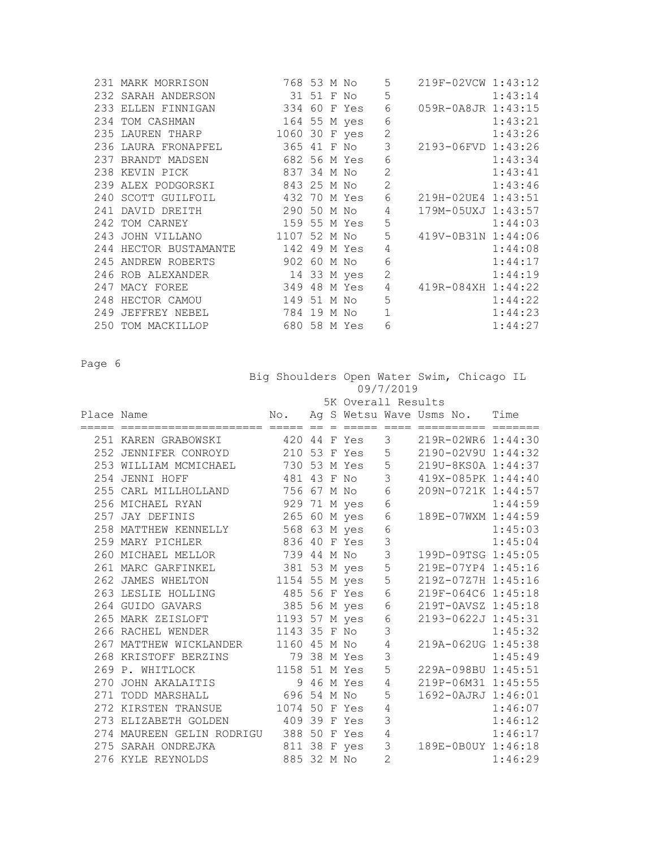| 231 MARK MORRISON                                     | 768 53 M No   |  | 5              | 219F-02VCW 1:43:12 |         |
|-------------------------------------------------------|---------------|--|----------------|--------------------|---------|
| 232 SARAH ANDERSON                                    | 31 51 F No    |  | 5              |                    | 1:43:14 |
| 233 ELLEN FINNIGAN 334 60 F Yes                       |               |  | 6              | 059R-0A8JR 1:43:15 |         |
| 234 TOM CASHMAN 164 55 M yes                          |               |  | 6              |                    | 1:43:21 |
| 235 LAUREN THARP                                      | 1060 30 F yes |  | $\overline{2}$ |                    | 1:43:26 |
| 236 LAURA FRONAPFEL 365 41 F No                       |               |  | 3              | 2193-06FVD 1:43:26 |         |
| 237 BRANDT MADSEN                                     | 682 56 M Yes  |  | 6              |                    | 1:43:34 |
| 837 34 M No<br>238 KEVIN PICK                         |               |  | $\overline{2}$ |                    | 1:43:41 |
| 239 ALEX PODGORSKI 843 25 M No                        |               |  | $\overline{2}$ |                    | 1:43:46 |
| 240 SCOTT GUILFOIL                       432 70 M Yes |               |  | 6              | 219H-02UE4 1:43:51 |         |
| 290 50 M No<br>241 DAVID DREITH                       |               |  | $\overline{4}$ | 179M-05UXJ 1:43:57 |         |
| 159 55 M Yes<br>242 TOM CARNEY                        |               |  | 5              |                    | 1:44:03 |
| 243 JOHN VILLANO 1107 52 M No                         |               |  | 5              | 419V-0B31N 1:44:06 |         |
| 244 HECTOR BUSTAMANTE 142 49 M Yes                    |               |  | 4              |                    | 1:44:08 |
| 245 ANDREW ROBERTS 902 60 M No                        |               |  | 6              |                    | 1:44:17 |
| 246 ROB ALEXANDER                                     | 14 33 M yes   |  | $\overline{2}$ |                    | 1:44:19 |
| 247 MACY FOREE                                        | 349 48 M Yes  |  | 4              | 419R-084XH 1:44:22 |         |
| 248 HECTOR CAMOU                                      | 149 51 M No   |  | 5              |                    | 1:44:22 |
| 249 JEFFREY NEBEL                                     | 784 19 M No   |  | $\mathbf{1}$   |                    | 1:44:23 |
| 680 58 M Yes<br>250 TOM MACKILLOP                     |               |  | 6              |                    | 1:44:27 |

|            |                                                                                   |                                   | Big Shoulders Open Water Swim, Chicago IL<br>09/7/2019 |  |             |                |                    |  |                      |  |
|------------|-----------------------------------------------------------------------------------|-----------------------------------|--------------------------------------------------------|--|-------------|----------------|--------------------|--|----------------------|--|
|            |                                                                                   |                                   |                                                        |  |             |                | 5K Overall Results |  |                      |  |
| Place Name |                                                                                   | No. Ag S Wetsu Wave Usms No. Time |                                                        |  |             |                |                    |  |                      |  |
|            | 251 KAREN GRABOWSKI 420 44 F Yes                                                  |                                   |                                                        |  |             |                |                    |  | 3 219R-02WR6 1:44:30 |  |
|            | 252 JENNIFER CONROYD 210 53 F Yes 5                                               |                                   |                                                        |  |             |                |                    |  | 2190-02V9U 1:44:32   |  |
|            | 253 WILLIAM MCMICHAEL 730 53 M Yes                                                |                                   |                                                        |  |             | 5              |                    |  | 219U-8KS0A 1:44:37   |  |
|            | 254 JENNI HOFF                                                                    | 481 43 F No                       |                                                        |  |             | 3              |                    |  | 419X-085PK 1:44:40   |  |
|            | 255 CARL MILLHOLLAND 756 67 M No 6                                                |                                   |                                                        |  |             |                |                    |  | 209N-0721K 1:44:57   |  |
|            | 256 MICHAEL RYAN                                                                  | 929 71 M yes                      |                                                        |  |             | $\sqrt{6}$     |                    |  | 1:44:59              |  |
|            | 257 JAY DEFINIS                                                                   | 265 60 M yes                      |                                                        |  |             | $\epsilon$     |                    |  | 189E-07WXM 1:44:59   |  |
|            | 258 MATTHEW KENNELLY                                                              | 568 63 M yes                      |                                                        |  |             | $\sqrt{6}$     |                    |  | 1:45:03              |  |
|            | 259 MARY PICHLER                                                                  | 836 40 F Yes                      |                                                        |  |             | $\mathsf 3$    |                    |  | 1:45:04              |  |
|            | 260 MICHAEL MELLOR 739 44 M No                                                    |                                   |                                                        |  |             | $\mathsf 3$    |                    |  | 199D-09TSG 1:45:05   |  |
|            | 261 MARC GARFINKEL                                                                | 381 53 M yes                      |                                                        |  |             | 5              |                    |  | 219E-07YP4 1:45:16   |  |
|            | 262 JAMES WHELTON                                                                 | 1154 55 M yes                     |                                                        |  |             | 5              |                    |  | 219Z-07Z7H 1:45:16   |  |
|            | 263 LESLIE HOLLING 485 56 F Yes                                                   |                                   |                                                        |  |             | $6\,$          |                    |  | 219F-064C6 1:45:18   |  |
|            | 264 GUIDO GAVARS                                                                  | 385 56 M yes                      |                                                        |  |             | $\sqrt{6}$     |                    |  | 219T-0AVSZ 1:45:18   |  |
|            | 265 MARK ZEISLOFT 1193 57 M yes                                                   |                                   |                                                        |  |             | $\epsilon$     |                    |  | 2193-0622J 1:45:31   |  |
|            | 266 RACHEL WENDER                                                                 | 1143 35 F No                      |                                                        |  |             | 3              |                    |  | 1:45:32              |  |
|            | 267 MATTHEW WICKLANDER 1160 45 M No                                               |                                   |                                                        |  |             | $\sqrt{4}$     |                    |  | 219A-062UG 1:45:38   |  |
|            | 268 KRISTOFF BERZINS                                                              |                                   |                                                        |  | 79 38 M Yes | 3              |                    |  | 1:45:49              |  |
|            | 269 P. WHITLOCK<br>269 P. WHITLOCK 1158 51 M Yes<br>270 JOHN AKALAITIS 9 46 M Yes |                                   |                                                        |  |             | 5              |                    |  | 229A-098BU 1:45:51   |  |
|            |                                                                                   |                                   |                                                        |  |             | $\sqrt{4}$     |                    |  | 219P-06M31 1:45:55   |  |
|            | 271 TODD MARSHALL 696 54 M No                                                     |                                   |                                                        |  |             | 5              |                    |  | 1692-0AJRJ 1:46:01   |  |
|            | 272 KIRSTEN TRANSUE                                                               | 1074 50 F Yes                     |                                                        |  |             | 4              |                    |  | 1:46:07              |  |
|            | 273 ELIZABETH GOLDEN 409 39 F Yes                                                 |                                   |                                                        |  |             | 3              |                    |  | 1:46:12              |  |
|            | 274 MAUREEN GELIN RODRIGU 388 50 F Yes                                            |                                   |                                                        |  |             | $\sqrt{4}$     |                    |  | 1:46:17              |  |
|            | 275 SARAH ONDREJKA                                                                | 811 38 F yes                      |                                                        |  |             | 3              |                    |  | 189E-0B0UY 1:46:18   |  |
|            | 276 KYLE REYNOLDS                                                                 | 885 32 M No                       |                                                        |  |             | $\overline{2}$ |                    |  | 1:46:29              |  |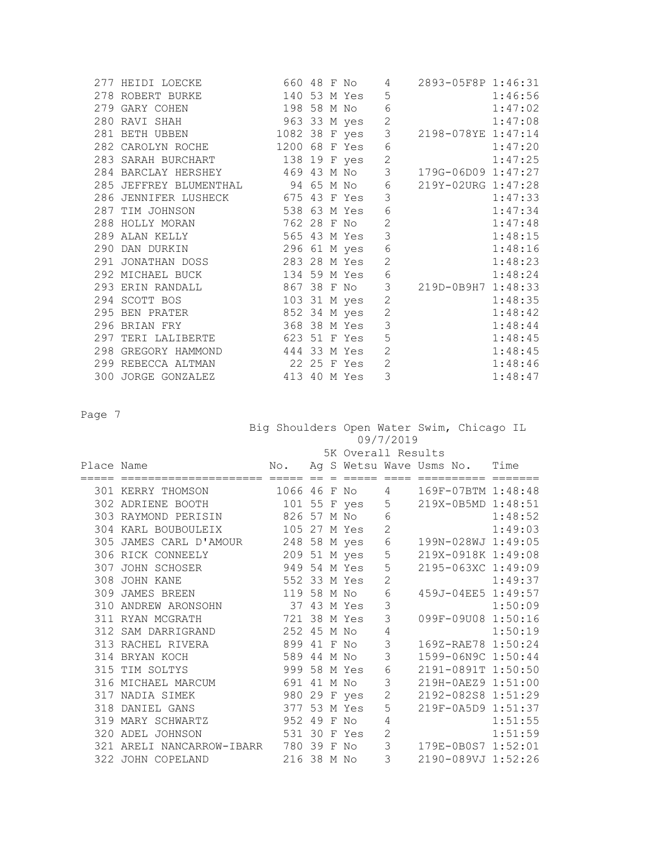|  | 277 HEIDI LOECKE 660 48 F No                                      |  |              | 4              | 2893-05F8P 1:46:31 |         |
|--|-------------------------------------------------------------------|--|--------------|----------------|--------------------|---------|
|  | 278 ROBERT BURKE 140 53 M Yes                                     |  |              | 5              |                    | 1:46:56 |
|  |                                                                   |  |              |                |                    | 1:47:02 |
|  |                                                                   |  |              |                |                    | 1:47:08 |
|  | 281 BETH UBBEN 1082 38 F yes                                      |  |              | 3              | 2198-078YE 1:47:14 |         |
|  | 282 CAROLYN ROCHE 1200 68 F Yes                                   |  |              | $\sqrt{6}$     |                    | 1:47:20 |
|  | 283 SARAH BURCHART 138 19 F yes                                   |  |              | $\mathbf{2}$   |                    | 1:47:25 |
|  | 284 BARCLAY HERSHEY 469 43 M No 3 179G-06D09 1:47:27              |  |              |                |                    |         |
|  | 285 JEFFREY BLUMENTHAL 94 65 M No 6                               |  |              |                | 219Y-02URG 1:47:28 |         |
|  | 286 JENNIFER LUSHECK 675 43 F Yes                                 |  |              | 3              |                    | 1:47:33 |
|  | 287 TIM JOHNSON 538 63 M Yes                                      |  |              | $\epsilon$     |                    | 1:47:34 |
|  | 288 HOLLY MORAN 762 28 F No                                       |  |              | $\overline{c}$ |                    | 1:47:48 |
|  | 289 ALAN KELLY 565 43 M Yes                                       |  |              | 3              |                    | 1:48:15 |
|  | 290 DAN DURKIN 296 61 M yes                                       |  |              | $\epsilon$     |                    | 1:48:16 |
|  | 291 JONATHAN DOSS 283 28 M Yes                                    |  |              | $\overline{2}$ |                    | 1:48:23 |
|  | 292 MICHAEL BUCK 134 59 M Yes                                     |  |              | $\sqrt{6}$     |                    | 1:48:24 |
|  | 293 ERIN RANDALL 867 38 F No 3<br>294 SCOTT BOS 103 31 M yes 2    |  |              |                | 219D-0B9H7 1:48:33 |         |
|  |                                                                   |  |              |                |                    | 1:48:35 |
|  | 295 BEN PRATER 652 34 M yes                                       |  |              | $\overline{c}$ |                    | 1:48:42 |
|  | 296 BRIAN FRY                                                     |  | 368 38 M Yes | 3              |                    | 1:48:44 |
|  | 297 TERI LALIBERTE 623 51 F Yes                                   |  |              | 5              |                    | 1:48:45 |
|  | 298 GREGORY HAMMOND 444 33 M Yes                                  |  |              | $\overline{2}$ |                    | 1:48:45 |
|  | 299 REBECCA ALTMAN 22 25 F Yes<br>300 JORGE GONZALEZ 413 40 M Yes |  |              | $\overline{2}$ |                    | 1:48:46 |
|  |                                                                   |  |              | $\overline{3}$ |                    | 1:48:47 |

 Big Shoulders Open Water Swim, Chicago IL 09/7/2019

|            |                                       |              |  | 5K Overall Results |                |  |                               |                        |
|------------|---------------------------------------|--------------|--|--------------------|----------------|--|-------------------------------|------------------------|
| Place Name |                                       | No.          |  |                    |                |  | Ag S Wetsu Wave Usms No. Time |                        |
|            | ================================      |              |  |                    |                |  |                               | ==== ========== ====== |
|            | 301 KERRY THOMSON                     | 1066 46 F No |  |                    | 4              |  |                               | 169F-07BTM 1:48:48     |
|            | 302 ADRIENE BOOTH                     |              |  | 101 55 F yes       | 5              |  |                               | 219X-0B5MD 1:48:51     |
|            | 303 RAYMOND PERISIN                   | 826 57 M No  |  |                    | 6              |  |                               | 1:48:52                |
|            | 304 KARL BOUBOULEIX                   | 105 27 M Yes |  |                    | $\overline{2}$ |  |                               | 1:49:03                |
|            | 305 JAMES CARL D'AMOUR 248 58 M yes   |              |  |                    | $\epsilon$     |  |                               | 199N-028WJ 1:49:05     |
|            | 306 RICK CONNEELY                     | 209 51 M yes |  |                    | 5              |  |                               | 219X-0918K 1:49:08     |
|            | 307 JOHN SCHOSER                      | 949 54 M Yes |  |                    | 5              |  |                               | 2195-063XC 1:49:09     |
|            | 308 JOHN KANE                         | 552 33 M Yes |  |                    | $\overline{2}$ |  |                               | 1:49:37                |
|            | 309 JAMES BREEN                       | 119 58 M No  |  |                    | 6              |  |                               | 459J-04EE5 1:49:57     |
|            | 310 ANDREW ARONSOHN                   | 37 43 M Yes  |  |                    | 3              |  |                               | 1:50:09                |
|            | 311 RYAN MCGRATH                      | 721 38 M Yes |  |                    | 3              |  |                               | 099F-09U08 1:50:16     |
|            | 312 SAM DARRIGRAND                    | 252 45 M No  |  |                    | 4              |  |                               | 1:50:19                |
|            | 313 RACHEL RIVERA                     | 899 41 F No  |  |                    | 3              |  |                               | 169Z-RAE78 1:50:24     |
|            | 314 BRYAN KOCH                        | 589 44 M No  |  |                    | 3              |  |                               | 1599-06N9C 1:50:44     |
|            | 315 TIM SOLTYS                        | 999 58 M Yes |  |                    | 6              |  |                               | 2191-0891T 1:50:50     |
|            | 316 MICHAEL MARCUM                    | 691 41 M No  |  |                    | 3              |  |                               | 219H-0AEZ9 1:51:00     |
|            | 317 NADIA SIMEK                       | 980 29 F yes |  |                    | $\mathbf{2}$   |  |                               | 2192-082S8 1:51:29     |
|            | 318 DANIEL GANS                       | 377 53 M Yes |  |                    | 5              |  |                               | 219F-0A5D9 1:51:37     |
|            | 319 MARY SCHWARTZ                     | 952 49 F No  |  |                    | 4              |  |                               | 1:51:55                |
|            | 320 ADEL JOHNSON                      | 531 30 F Yes |  |                    | 2              |  |                               | 1:51:59                |
|            | 321 ARELI NANCARROW-IBARR 780 39 F No |              |  |                    | 3              |  |                               | 179E-0B0S7 1:52:01     |
|            | 322 JOHN COPELAND                     | 216 38 M No  |  |                    | 3              |  |                               | 2190-089VJ 1:52:26     |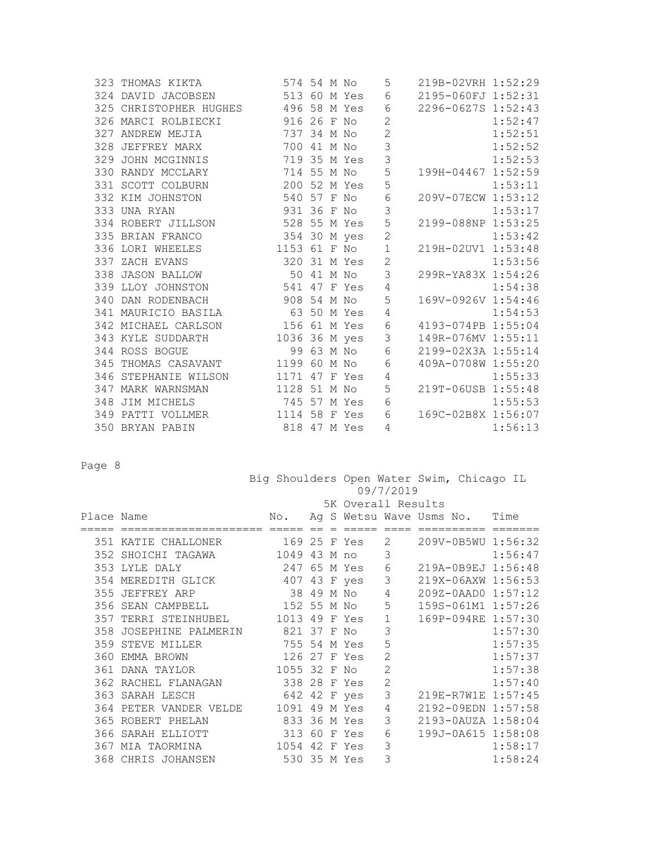|  | 323 THOMAS KIKTA                    | 574 54 M No   |  |              | 5              | 219B-02VRH 1:52:29 |         |
|--|-------------------------------------|---------------|--|--------------|----------------|--------------------|---------|
|  | 324 DAVID JACOBSEN 513 60 M Yes     |               |  |              | 6              | 2195-060FJ 1:52:31 |         |
|  | 325 CHRISTOPHER HUGHES 496 58 M Yes |               |  |              | 6              | 2296-06Z7S 1:52:43 |         |
|  | 916 26 F No<br>326 MARCI ROLBIECKI  |               |  |              | $\overline{c}$ |                    | 1:52:47 |
|  | 327 ANDREW MEJIA                    | 737 34 M No   |  |              | $\overline{c}$ |                    | 1:52:51 |
|  | 328 JEFFREY MARX 700 41 M No        |               |  |              | $\mathfrak{Z}$ |                    | 1:52:52 |
|  | 329 JOHN MCGINNIS 719 35 M Yes      |               |  |              | 3              |                    | 1:52:53 |
|  | 330 RANDY MCCLARY                   | 714 55 M No   |  |              | 5              | 199H-04467 1:52:59 |         |
|  | 200 52 M Yes<br>331 SCOTT COLBURN   |               |  |              | 5              |                    | 1:53:11 |
|  | 540 57 F No<br>332 KIM JOHNSTON     |               |  |              | $\epsilon$     | 209V-07ECW 1:53:12 |         |
|  | 333 UNA RYAN                        | 931 36 F No   |  |              | 3              |                    | 1:53:17 |
|  | 334 ROBERT JILLSON                  | 528 55 M Yes  |  |              | 5              | 2199-088NP 1:53:25 |         |
|  | 335 BRIAN FRANCO                    | 354 30 M yes  |  |              | $\overline{c}$ |                    | 1:53:42 |
|  | 336 LORI WHEELES                    | 1153 61 F No  |  |              | $1\,$          | 219H-02UV1 1:53:48 |         |
|  | 337 ZACH EVANS                      | 320 31 M Yes  |  |              | $\overline{c}$ |                    | 1:53:56 |
|  | 338 JASON BALLOW 50 41 M No         |               |  |              | 3              | 299R-YA83X 1:54:26 |         |
|  | 339 LLOY JOHNSTON 541 47 F Yes      |               |  |              | $\sqrt{4}$     |                    | 1:54:38 |
|  | 340 DAN RODENBACH                   | 908 54 M No   |  |              | 5              | 169V-0926V 1:54:46 |         |
|  | 341 MAURICIO BASILA                 | 63 50 M Yes   |  |              | 4              |                    | 1:54:53 |
|  | 342 MICHAEL CARLSON 156 61 M Yes    |               |  |              | $\epsilon$     | 4193-074PB 1:55:04 |         |
|  | 343 KYLE SUDDARTH                   | 1036 36 M yes |  |              | $\mathcal{S}$  | 149R-076MV 1:55:11 |         |
|  | 344 ROSS BOGUE                      |               |  | 99 63 M No   | $\epsilon$     | 2199-02X3A 1:55:14 |         |
|  | 345 THOMAS CASAVANT 1199 60 M No    |               |  |              | $\epsilon$     | 409A-0708W 1:55:20 |         |
|  | 346 STEPHANIE WILSON 1171 47 F Yes  |               |  |              | 4              |                    | 1:55:33 |
|  | 1128 51 M No<br>347 MARK WARNSMAN   |               |  |              | 5              | 219T-06USB 1:55:48 |         |
|  | 348 JIM MICHELS                     | 745 57 M Yes  |  |              | $\epsilon$     |                    | 1:55:53 |
|  | 349 PATTI VOLLMER 1114 58 F Yes     |               |  |              | 6              | 169C-02B8X 1:56:07 |         |
|  | 350 BRYAN PABIN                     |               |  | 818 47 M Yes | 4              |                    | 1:56:13 |

 Big Shoulders Open Water Swim, Chicago IL 09/7/2019

|            |                                |               |            | 5K Overall Results |                |                               |         |
|------------|--------------------------------|---------------|------------|--------------------|----------------|-------------------------------|---------|
| Place Name |                                | No.           |            |                    |                | Ag S Wetsu Wave Usms No. Time |         |
|            |                                |               |            |                    |                |                               |         |
|            | 351 KATIE CHALLONER            | 169 25 F Yes  |            |                    | 2              | 209V-0B5WU 1:56:32            |         |
|            | 352 SHOICHI TAGAWA             | 1049 43 M no  |            |                    | 3              |                               | 1:56:47 |
|            | 353 LYLE DALY                  | 247           |            | 65 M Yes           | 6              | 219A-0B9EJ 1:56:48            |         |
|            | 354 MEREDITH GLICK             | 407 43 F yes  |            |                    | 3              | 219X-06AXW 1:56:53            |         |
|            | 355 JEFFREY ARP                |               | 38 49 M No |                    | $\sqrt{4}$     | 209Z-0AAD0 1:57:12            |         |
|            | 356 SEAN CAMPBELL              | 152 55 M No   |            |                    | 5              | 159S-061M1 1:57:26            |         |
| 357        | TERRI STEINHUBEL               | 1013 49 F Yes |            |                    | $\mathbf{1}$   | 169P-094RE 1:57:30            |         |
| 358        | JOSEPHINE PALMERIN 821 37 F No |               |            |                    | 3              |                               | 1:57:30 |
| 359        | STEVE MILLER                   | 755 54 M Yes  |            |                    | 5              |                               | 1:57:35 |
| 360        | EMMA BROWN                     | 126 27 F Yes  |            |                    | $\overline{2}$ |                               | 1:57:37 |
|            | 361 DANA TAYLOR                | 1055 32 F No  |            |                    | $\overline{2}$ |                               | 1:57:38 |
|            | 362 RACHEL FLANAGAN            | 338 28 F Yes  |            |                    | $\overline{2}$ |                               | 1:57:40 |
|            | 363 SARAH LESCH                | 642 42 F yes  |            |                    | 3              | 219E-R7W1E 1:57:45            |         |
| 364        | PETER VANDER VELDE             | 1091          |            | 49 M Yes           | 4              | 2192-09EDN 1:57:58            |         |
|            | 365 ROBERT PHELAN              | 833 36 M Yes  |            |                    | 3              | 2193-0AUZA 1:58:04            |         |
| 366        | SARAH ELLIOTT                  | 313 60 F Yes  |            |                    | 6              | 199J-0A615 1:58:08            |         |
|            | 367 MIA TAORMINA               | 1054          |            | 42 F Yes           | 3              |                               | 1:58:17 |
|            | 368 CHRIS JOHANSEN             | 530 35 M Yes  |            |                    | 3              |                               | 1:58:24 |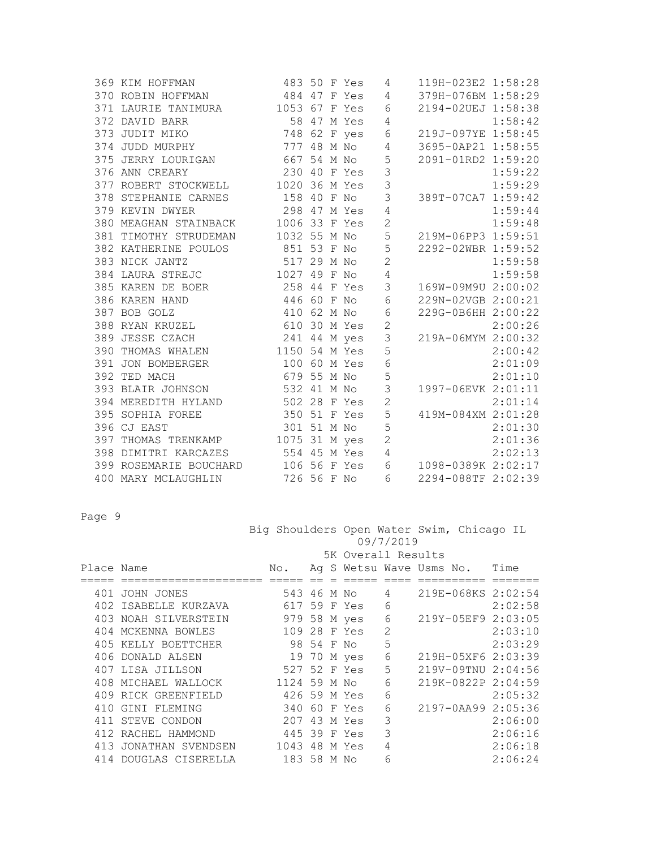|  | 369 KIM HOFFMAN                     |                                   |  | 483 50 F Yes | 4               | 119H-023E2 1:58:28 |         |
|--|-------------------------------------|-----------------------------------|--|--------------|-----------------|--------------------|---------|
|  | 370 ROBIN HOFFMAN                   | 484 47 F Yes 4                    |  |              |                 | 379H-076BM 1:58:29 |         |
|  | 371 LAURIE TANIMURA 1053 67 F Yes 6 |                                   |  |              |                 | 2194-02UEJ 1:58:38 |         |
|  | 372 DAVID BARR                      | 58 47 M Yes 4                     |  |              |                 |                    | 1:58:42 |
|  | 373 JUDIT MIKO                      | 748 62 F yes                      |  |              | $6\phantom{.}6$ | 219J-097YE 1:58:45 |         |
|  | 374 JUDD MURPHY                     | 777 48 M No                       |  |              | $\overline{4}$  | 3695-0AP21 1:58:55 |         |
|  | 375 JERRY LOURIGAN                  | 667 54 M No                       |  |              | $\mathsf S$     | 2091-01RD2 1:59:20 |         |
|  | 376 ANN CREARY                      | 230 40 F Yes                      |  |              | 3               |                    | 1:59:22 |
|  | 377 ROBERT STOCKWELL 1020 36 M Yes  |                                   |  |              | $\overline{3}$  |                    | 1:59:29 |
|  | 378 STEPHANIE CARNES 158 40 F No    |                                   |  |              | 3               | 389T-07CA7 1:59:42 |         |
|  | 379 KEVIN DWYER                     | 298 47 M Yes                      |  |              | $\sqrt{4}$      |                    | 1:59:44 |
|  | 380 MEAGHAN STAINBACK 1006 33 F Yes |                                   |  |              | $\overline{c}$  |                    | 1:59:48 |
|  | 381 TIMOTHY STRUDEMAN 1032 55 M No  |                                   |  |              | 5               | 219M-06PP3 1:59:51 |         |
|  | 382 KATHERINE POULOS 851 53 F No 5  |                                   |  |              |                 | 2292-02WBR 1:59:52 |         |
|  | 383 NICK JANTZ                      | 517 29 M No                       |  |              | $\overline{c}$  |                    | 1:59:58 |
|  | 384 LAURA STREJC                    | 1027 49 F No                      |  |              | $\overline{4}$  |                    | 1:59:58 |
|  | 385 KAREN DE BOER 258 44 F Yes 3    |                                   |  |              |                 | 169W-09M9U 2:00:02 |         |
|  | 386 KAREN HAND                      | 446 60 F No                       |  |              | $\sqrt{6}$      | 229N-02VGB 2:00:21 |         |
|  | 387 BOB GOLZ                        | 410 62 M No                       |  |              | $\sqrt{6}$      | 229G-0B6HH 2:00:22 |         |
|  | 388 RYAN KRUZEL                     | 610 30 M Yes 2                    |  |              |                 |                    | 2:00:26 |
|  | 389 JESSE CZACH                     | 241 44 M yes 3<br>1150 54 M Yes 5 |  |              |                 | 219A-06MYM 2:00:32 |         |
|  | 390 THOMAS WHALEN                   |                                   |  |              |                 |                    | 2:00:42 |
|  | 391 JON BOMBERGER 100 60 M Yes      |                                   |  |              | $\sqrt{6}$      |                    | 2:01:09 |
|  | 392 TED MACH                        | 679 55 M No                       |  |              | 5               |                    | 2:01:10 |
|  | 393 BLAIR JOHNSON                   | 532 41 M No                       |  |              | 3               | 1997-06EVK 2:01:11 |         |
|  | 394 MEREDITH HYLAND 502 28 F Yes    |                                   |  |              | $\overline{2}$  |                    | 2:01:14 |
|  | 395 SOPHIA FOREE                    | 350 51 F Yes                      |  |              | 5               | 419M-084XM 2:01:28 |         |
|  | 396 CJ EAST                         | 301 51 M No                       |  |              | 5               |                    | 2:01:30 |
|  | 397 THOMAS TRENKAMP 1075 31 M yes 2 |                                   |  |              |                 |                    | 2:01:36 |
|  | 398 DIMITRI KARCAZES                | 554 45 M Yes                      |  |              | $\overline{4}$  |                    | 2:02:13 |
|  | 399 ROSEMARIE BOUCHARD 106 56 F Yes |                                   |  |              | $\epsilon$      | 1098-0389K 2:02:17 |         |
|  | 726 56 F No<br>400 MARY MCLAUGHLIN  |                                   |  |              | 6               | 2294-088TF 2:02:39 |         |
|  |                                     |                                   |  |              |                 |                    |         |

|            |                       |              |            |                    | 09/7/2019      | Big Shoulders Open Water Swim, Chicago IL |         |
|------------|-----------------------|--------------|------------|--------------------|----------------|-------------------------------------------|---------|
|            |                       |              |            | 5K Overall Results |                |                                           |         |
| Place Name |                       | No.          |            |                    |                | Ag S Wetsu Wave Usms No.                  | Time    |
|            |                       |              |            |                    |                |                                           |         |
|            | 401 JOHN JONES        | 543 46 M No  |            |                    | 4              | 219E-068KS 2:02:54                        |         |
|            | 402 ISABELLE KURZAVA  | 617 59 F Yes |            |                    | 6              |                                           | 2:02:58 |
|            | 403 NOAH SILVERSTEIN  | 979 58 M yes |            |                    | 6              | 219Y-05EF9 2:03:05                        |         |
|            | 404 MCKENNA BOWLES    | 109 28 F Yes |            |                    | $\overline{2}$ |                                           | 2:03:10 |
|            | 405 KELLY BOETTCHER   |              | 98 54 F No |                    | 5              |                                           | 2:03:29 |
|            | 406 DONALD ALSEN      | 19 70 M yes  |            |                    | 6              | 219H-05XF6 2:03:39                        |         |
|            | 407 LISA JILLSON      | 527 52 F Yes |            |                    | 5              | 219V-09TNU 2:04:56                        |         |
|            | 408 MICHAEL WALLOCK   | 1124 59 M No |            |                    | 6              | 219K-0822P 2:04:59                        |         |
|            | 409 RICK GREENFIELD   | 426 59 M Yes |            |                    | 6              |                                           | 2:05:32 |
| 410        | GINI FLEMING          | 340          | 60         | F Yes              | 6              | 2197-0AA99 2:05:36                        |         |
|            | 411 STEVE CONDON      | 207          |            | 43 M Yes           | 3              |                                           | 2:06:00 |
|            | 412 RACHEL HAMMOND    | 445 39 F Yes |            |                    | 3              |                                           | 2:06:16 |
| 413        | JONATHAN SVENDSEN     | 1043         |            | 48 M Yes           | 4              |                                           | 2:06:18 |
|            | 414 DOUGLAS CISERELLA | 183 58 M No  |            |                    | 6              |                                           | 2:06:24 |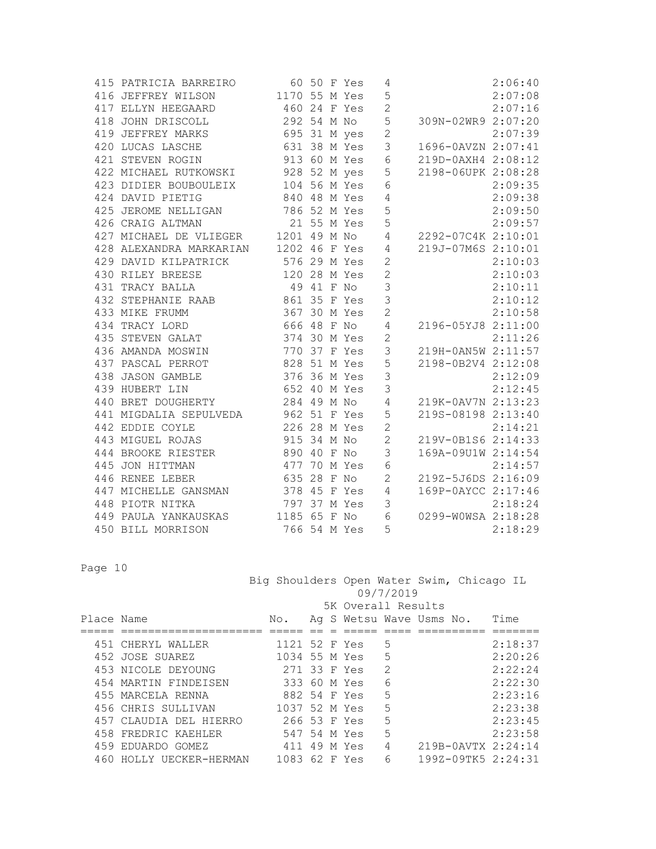|  | 415 PATRICIA BARREIRO                 | 60 50 F Yes                 |  |              | 4                        |                    | 2:06:40 |
|--|---------------------------------------|-----------------------------|--|--------------|--------------------------|--------------------|---------|
|  | 416 JEFFREY WILSON                    | 1170 55 M Yes               |  |              | 5                        |                    | 2:07:08 |
|  | 417 ELLYN HEEGAARD                    | 460 24 F Yes                |  |              | $\overline{c}$           |                    | 2:07:16 |
|  | 418 JOHN DRISCOLL                     | 292 54 M No                 |  |              | 5                        | 309N-02WR9 2:07:20 |         |
|  | 419 JEFFREY MARKS                     | 695 31 M yes                |  |              | $\mathbf{2}$             |                    | 2:07:39 |
|  | 420 LUCAS LASCHE                      | 631 38 M Yes                |  |              | $\mathsf 3$              | 1696-0AVZN 2:07:41 |         |
|  | 421 STEVEN ROGIN                      | 913 60 M Yes                |  |              | $\sqrt{6}$               | 219D-0AXH4 2:08:12 |         |
|  | 422 MICHAEL RUTKOWSKI 928 52 M yes    |                             |  |              | 5                        | 2198-06UPK 2:08:28 |         |
|  | 423 DIDIER BOUBOULEIX                 | 104 56 M Yes                |  |              | 6                        |                    | 2:09:35 |
|  | 424 DAVID PIETIG                      | 840 48 M Yes                |  |              | $\sqrt{4}$               |                    | 2:09:38 |
|  | 425 JEROME NELLIGAN                   |                             |  |              | 5                        |                    | 2:09:50 |
|  | 426 CRAIG ALTMAN                      | 786 52 M Yes<br>21 55 M Yes |  |              | 5                        |                    | 2:09:57 |
|  | 427 MICHAEL DE VLIEGER 1201 49 M No   |                             |  |              | $\overline{4}$           | 2292-07C4K 2:10:01 |         |
|  | 428 ALEXANDRA MARKARIAN 1202 46 F Yes |                             |  |              | $\overline{4}$           | 219J-07M6S 2:10:01 |         |
|  | 429 DAVID KILPATRICK 576 29 M Yes     |                             |  |              | $\mathbf{2}$             |                    | 2:10:03 |
|  | 430 RILEY BREESE                      | 120 28 M Yes                |  |              | $\mathbf{2}$             |                    | 2:10:03 |
|  | 431 TRACY BALLA                       | 49 41 F No                  |  |              | $\overline{\phantom{a}}$ |                    | 2:10:11 |
|  | 432 STEPHANIE RAAB                    | 861 35 F Yes                |  |              | $\overline{\mathbf{3}}$  |                    | 2:10:12 |
|  | 433 MIKE FRUMM                        | 367 30 M Yes                |  |              | $\overline{c}$           |                    | 2:10:58 |
|  | 434 TRACY LORD                        | 666 48 F No                 |  |              | $\sqrt{4}$               | 2196-05YJ8 2:11:00 |         |
|  | 435 STEVEN GALAT                      | 374 30 M Yes                |  |              | $\overline{c}$           |                    | 2:11:26 |
|  | 436 AMANDA MOSWIN                     | 770 37 F Yes                |  |              | 3                        | 219H-0AN5W 2:11:57 |         |
|  | 437 PASCAL PERROT                     | 828 51 M Yes                |  |              | $\mathsf S$              | 2198-0B2V4 2:12:08 |         |
|  | 438 JASON GAMBLE                      | 376 36 M Yes                |  |              | $\mathcal{S}$            |                    | 2:12:09 |
|  | 439 HUBERT LIN                        | 652 40 M Yes                |  |              | 3                        |                    | 2:12:45 |
|  | 440 BRET DOUGHERTY                    | 284 49 M No                 |  |              | $\sqrt{4}$               | 219K-0AV7N 2:13:23 |         |
|  | 441 MIGDALIA SEPULVEDA 962 51 F Yes   |                             |  |              | 5                        | 219S-08198 2:13:40 |         |
|  | 442 EDDIE COYLE                       | 226 28 M Yes                |  |              | $\overline{2}$           |                    | 2:14:21 |
|  | 443 MIGUEL ROJAS                      | 915 34 M No                 |  |              | $\sqrt{2}$               | 219V-0B1S6 2:14:33 |         |
|  | 444 BROOKE RIESTER                    | 890 40 F No                 |  |              | $\mathcal{S}$            | 169A-09U1W 2:14:54 |         |
|  | 445 JON HITTMAN                       | 477 70 M Yes                |  |              | $\sqrt{6}$               |                    | 2:14:57 |
|  | 446 RENEE LEBER                       | 635 28 F No                 |  |              | $\mathbf{2}$             | 219Z-5J6DS 2:16:09 |         |
|  | 447 MICHELLE GANSMAN                  | 378 45 F Yes                |  |              | $\overline{4}$           | 169P-0AYCC 2:17:46 |         |
|  | 448 PIOTR NITKA                       | 797 37 M Yes                |  |              | 3                        |                    | 2:18:24 |
|  | 449 PAULA YANKAUSKAS 1185 65 F No     |                             |  |              | 6                        | 0299-WOWSA 2:18:28 |         |
|  | 450 BILL MORRISON                     |                             |  | 766 54 M Yes | 5                        |                    | 2:18:29 |

Page 10

 Big Shoulders Open Water Swim, Chicago IL 09/7/2019

|            |                         |               |  | 5K Overall Results |               |                          |         |
|------------|-------------------------|---------------|--|--------------------|---------------|--------------------------|---------|
| Place Name |                         | No.           |  |                    |               | Ag S Wetsu Wave Usms No. | Time    |
|            |                         |               |  |                    |               |                          |         |
|            | 451 CHERYL WALLER       | 1121 52 F Yes |  |                    | 5             |                          | 2:18:37 |
|            | 452 JOSE SUAREZ         | 1034 55 M Yes |  |                    | 5             |                          | 2:20:26 |
|            | 453 NICOLE DEYOUNG      | 271 33 F Yes  |  |                    | $\mathcal{L}$ |                          | 2:22:24 |
|            | 454 MARTIN FINDEISEN    | 333 60 M Yes  |  |                    | 6             |                          | 2:22:30 |
|            | 455 MARCELA RENNA       | 882 54 F Yes  |  |                    | 5             |                          | 2:23:16 |
|            | 456 CHRIS SULLIVAN      | 1037 52 M Yes |  |                    | 5             |                          | 2:23:38 |
|            | 457 CLAUDIA DEL HIERRO  | 266 53 F Yes  |  |                    | 5             |                          | 2:23:45 |
|            | 458 FREDRIC KAEHLER     | 547 54 M Yes  |  |                    | 5             |                          | 2:23:58 |
|            | 459 EDUARDO GOMEZ       | 411           |  | 49 M Yes           | 4             | 219B-0AVTX 2:24:14       |         |
|            | 460 HOLLY UECKER-HERMAN | 1083 62 F Yes |  |                    | 6             | 199Z-09TK5 2:24:31       |         |